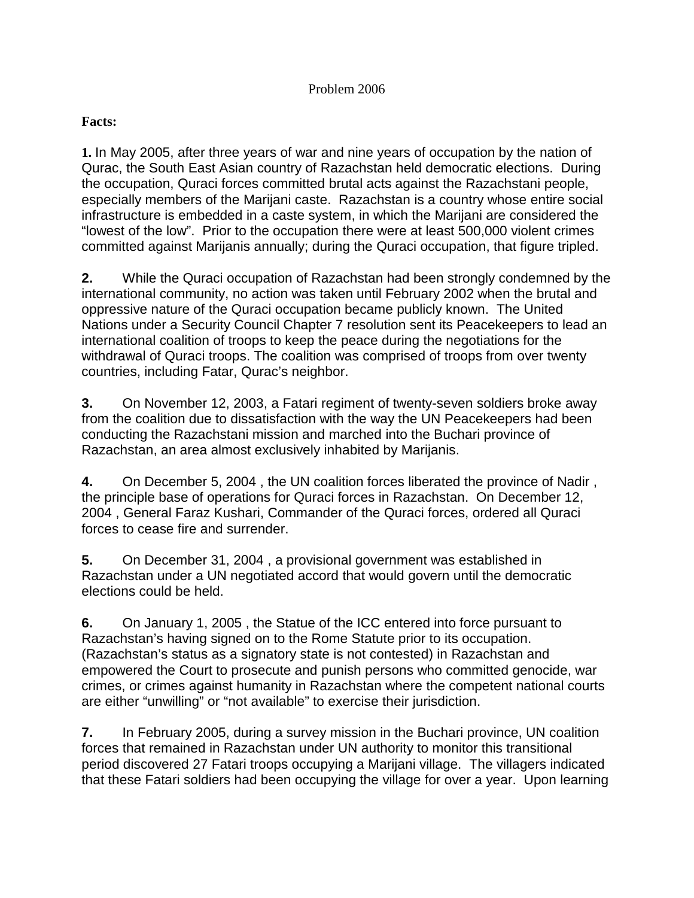## Problem 2006

## **Facts:**

**1.** In May 2005, after three years of war and nine years of occupation by the nation of Qurac, the South East Asian country of Razachstan held democratic elections. During the occupation, Quraci forces committed brutal acts against the Razachstani people, especially members of the Marijani caste. Razachstan is a country whose entire social infrastructure is embedded in a caste system, in which the Marijani are considered the "lowest of the low". Prior to the occupation there were at least 500,000 violent crimes committed against Marijanis annually; during the Quraci occupation, that figure tripled.

**2.** While the Quraci occupation of Razachstan had been strongly condemned by the international community, no action was taken until February 2002 when the brutal and oppressive nature of the Quraci occupation became publicly known. The United Nations under a Security Council Chapter 7 resolution sent its Peacekeepers to lead an international coalition of troops to keep the peace during the negotiations for the withdrawal of Quraci troops. The coalition was comprised of troops from over twenty countries, including Fatar, Qurac's neighbor.

**3.** On November 12, 2003, a Fatari regiment of twenty-seven soldiers broke away from the coalition due to dissatisfaction with the way the UN Peacekeepers had been conducting the Razachstani mission and marched into the Buchari province of Razachstan, an area almost exclusively inhabited by Marijanis.

**4.** On December 5, 2004 , the UN coalition forces liberated the province of Nadir , the principle base of operations for Quraci forces in Razachstan. On December 12, 2004 , General Faraz Kushari, Commander of the Quraci forces, ordered all Quraci forces to cease fire and surrender.

**5.** On December 31, 2004 , a provisional government was established in Razachstan under a UN negotiated accord that would govern until the democratic elections could be held.

**6.** On January 1, 2005 , the Statue of the ICC entered into force pursuant to Razachstan's having signed on to the Rome Statute prior to its occupation. (Razachstan's status as a signatory state is not contested) in Razachstan and empowered the Court to prosecute and punish persons who committed genocide, war crimes, or crimes against humanity in Razachstan where the competent national courts are either "unwilling" or "not available" to exercise their jurisdiction.

**7.** In February 2005, during a survey mission in the Buchari province, UN coalition forces that remained in Razachstan under UN authority to monitor this transitional period discovered 27 Fatari troops occupying a Marijani village. The villagers indicated that these Fatari soldiers had been occupying the village for over a year. Upon learning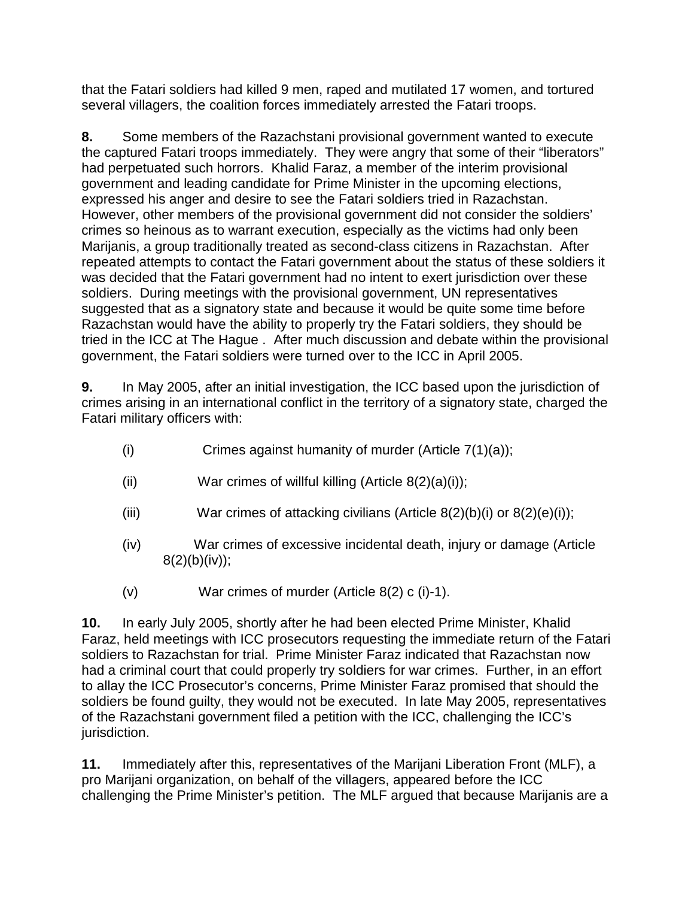that the Fatari soldiers had killed 9 men, raped and mutilated 17 women, and tortured several villagers, the coalition forces immediately arrested the Fatari troops.

**8.** Some members of the Razachstani provisional government wanted to execute the captured Fatari troops immediately. They were angry that some of their "liberators" had perpetuated such horrors. Khalid Faraz, a member of the interim provisional government and leading candidate for Prime Minister in the upcoming elections, expressed his anger and desire to see the Fatari soldiers tried in Razachstan. However, other members of the provisional government did not consider the soldiers' crimes so heinous as to warrant execution, especially as the victims had only been Marijanis, a group traditionally treated as second-class citizens in Razachstan. After repeated attempts to contact the Fatari government about the status of these soldiers it was decided that the Fatari government had no intent to exert jurisdiction over these soldiers. During meetings with the provisional government, UN representatives suggested that as a signatory state and because it would be quite some time before Razachstan would have the ability to properly try the Fatari soldiers, they should be tried in the ICC at The Hague . After much discussion and debate within the provisional government, the Fatari soldiers were turned over to the ICC in April 2005.

**9.** In May 2005, after an initial investigation, the ICC based upon the jurisdiction of crimes arising in an international conflict in the territory of a signatory state, charged the Fatari military officers with:

- (i) Crimes against humanity of murder  $(A$ rticle  $7(1)(a)$ ;
- (ii) War crimes of willful killing  $(A$ rticle  $8(2)(a)(i)$ ;
- (iii) War crimes of attacking civilians  $(A$ rticle  $8(2)(b)(i)$  or  $8(2)(e)(i)$ ;
- (iv) War crimes of excessive incidental death, injury or damage (Article  $8(2)(b)(iv)$ ;
- (v) War crimes of murder (Article 8(2) c (i)-1).

**10.** In early July 2005, shortly after he had been elected Prime Minister, Khalid Faraz, held meetings with ICC prosecutors requesting the immediate return of the Fatari soldiers to Razachstan for trial. Prime Minister Faraz indicated that Razachstan now had a criminal court that could properly try soldiers for war crimes. Further, in an effort to allay the ICC Prosecutor's concerns, Prime Minister Faraz promised that should the soldiers be found guilty, they would not be executed. In late May 2005, representatives of the Razachstani government filed a petition with the ICC, challenging the ICC's jurisdiction.

**11.** Immediately after this, representatives of the Marijani Liberation Front (MLF), a pro Marijani organization, on behalf of the villagers, appeared before the ICC challenging the Prime Minister's petition. The MLF argued that because Marijanis are a